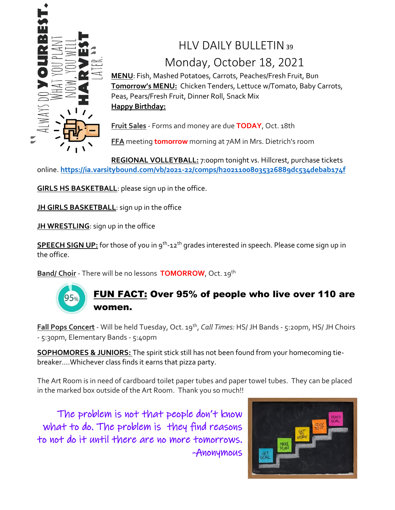

# HIV DAILY BULLETIN39 Monday, October 18, 2021

**MENU**: Fish, Mashed Potatoes, Carrots, Peaches/Fresh Fruit, Bun **Tomorrow's MENU:** Chicken Tenders, Lettuce w/Tomato, Baby Carrots, Peas, Pears/Fresh Fruit, Dinner Roll, Snack Mix **Happy Birthday:**

**Fruit Sales** - Forms and money are due **TODAY**, Oct. 18th

**FFA** meeting **tomorrow** morning at 7AM in Mrs. Dietrich's room

**REGIONAL VOLLEYBALL:** 7:00pm tonight vs. Hillcrest, purchase tickets online. **<https://ia.varsitybound.com/vb/2021-22/comps/h20211008035326889dc534debab174f>**

**GIRLS HS BASKETBALL**: please sign up in the office.

**JH GIRLS BASKETBALL:** sign up in the office

**JH WRESTLING:** sign up in the office

**SPEECH SIGN UP:** for those of you in 9th -12th grades interested in speech. Please come sign up in the office.

**Band/ Choir** - There will be no lessons **TOMORROW**, Oct. 19th



#### FUN FACT: Over 95% of people who live over 110 are women.

**Fall Pops Concert** - Will be held Tuesday, Oct. 19th , *Call Times:* HS/ JH Bands - 5:20pm, HS/ JH Choirs - 5:30pm, Elementary Bands - 5:40pm

**SOPHOMORES & JUNIORS:** The spirit stick still has not been found from your homecoming tiebreaker….Whichever class finds it earns that pizza party.

The Art Room is in need of cardboard toilet paper tubes and paper towel tubes. They can be placed in the marked box outside of the Art Room. Thank you so much!!

 The problem is not that people don't know what to do. The problem is they find reasons to not do it until there are no more tomorrows. -Anonymous